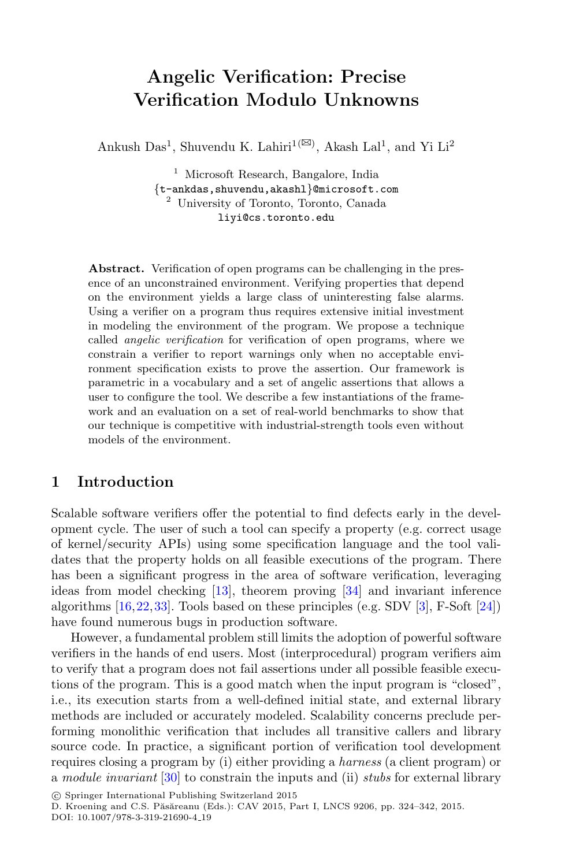# **Angelic Verification: Precise Verification Modulo Unknowns**

Ankush Das<sup>1</sup>, Shuvendu K. Lahiri<sup>1( $\boxtimes$ )</sup>, Akash Lal<sup>1</sup>, and Yi Li<sup>2</sup>

<sup>1</sup> Microsoft Research, Bangalore, India {t-ankdas,shuvendu,akashl}@microsoft.com <sup>2</sup> University of Toronto, Toronto, Canada liyi@cs.toronto.edu

**Abstract.** Verification of open programs can be challenging in the presence of an unconstrained environment. Verifying properties that depend on the environment yields a large class of uninteresting false alarms. Using a verifier on a program thus requires extensive initial investment in modeling the environment of the program. We propose a technique called *angelic verification* for verification of open programs, where we constrain a verifier to report warnings only when no acceptable environment specification exists to prove the assertion. Our framework is parametric in a vocabulary and a set of angelic assertions that allows a user to configure the tool. We describe a few instantiations of the framework and an evaluation on a set of real-world benchmarks to show that our technique is competitive with industrial-strength tools even without models of the environment.

### **1 Introduction**

Scalable software verifiers offer the potential to find defects early in the development cycle. The user of such a tool can specify a property (e.g. correct usage of kernel/security APIs) using some specification language and the tool validates that the property holds on all feasible executions of the program. There has been a significant progress in the area of software verification, leveraging ideas from model checking [\[13](#page-16-0)], theorem proving [\[34\]](#page-18-0) and invariant inference algorithms  $[16,22,33]$  $[16,22,33]$  $[16,22,33]$  $[16,22,33]$ . Tools based on these principles (e.g. SDV  $[3]$  $[3]$ , F-Soft  $[24]$ ) have found numerous bugs in production software.

However, a fundamental problem still limits the adoption of powerful software verifiers in the hands of end users. Most (interprocedural) program verifiers aim to verify that a program does not fail assertions under all possible feasible executions of the program. This is a good match when the input program is "closed", i.e., its execution starts from a well-defined initial state, and external library methods are included or accurately modeled. Scalability concerns preclude performing monolithic verification that includes all transitive callers and library source code. In practice, a significant portion of verification tool development requires closing a program by (i) either providing a *harness* (a client program) or a *module invariant* [\[30](#page-17-3)] to constrain the inputs and (ii) *stubs* for external library

<sup>-</sup>c Springer International Publishing Switzerland 2015

D. Kroening and C.S. Păsăreanu (Eds.): CAV 2015, Part I, LNCS 9206, pp. 324–342, 2015. DOI: 10.1007/978-3-319-21690-4 19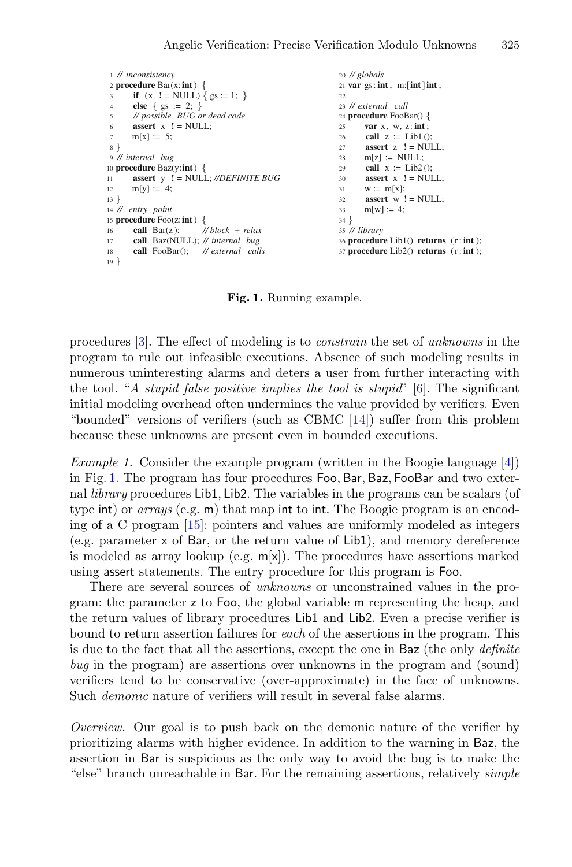```
1 // inconsistency
 2 procedure Bar(x:int) {<br>3 if (x : 1 = NIII, I) }
 3 if (x^2 = NULL) { gs := 1; }
 4 else \{ gs := 2; \}<br>5 // possible BUG or
 5 // possible BUG or dead code
        6 assert x ! = NULL;
 7 \text{ m[x]} := 5:
 8 }
 9 // internal bug
10 procedure Baz(y:int) {
        11 assert y ! = NULL; //DEFINITE BUG
12 m[y] := 4;13 }
14 // entry point
15 procedure Foo(z:int) {
16 call Bar(z); // block + relax<br>17 call Bar(XIII.): // internal bug
        17 call Baz(NULL); // internal bug
18 call FooBar(); // external calls
19 }
                                                                           20 // globals
                                                                          21 var gs: int , m:[int]int ;
                                                                          2223 // external call
                                                                          24 procedure FooBar() \{25 \text{ var } x, w, z : \text{int}: \text{int} :25 var x, w, z: int ;
                                                                          26 call z := Lib1();<br>27 assert z := NUI27 assert z ! = NULL;<br>28 m[z] := NULL:
                                                                          28 m[z] := NULL;<br>29 call x := Lib2
                                                                          29 call x := Lib2();<br>30 assert x := NUIassert x ! = NULL;
                                                                          31 w := m[x];<br>32 assert w !
                                                                          32 assert w ! = NULL;<br>33 m[w] := 4:
                                                                                   m[w] := 4;34 }
                                                                          35 // library
                                                                         36 procedure Lib1() returns (r: int );
                                                                         37 procedure Lib2() returns (r: int );
```
<span id="page-1-0"></span>**Fig. 1.** Running example.

procedures [\[3](#page-16-2)]. The effect of modeling is to *constrain* the set of *unknowns* in the program to rule out infeasible executions. Absence of such modeling results in numerous uninteresting alarms and deters a user from further interacting with the tool. "*A stupid false positive implies the tool is stupid*" [\[6](#page-16-3)]. The significant initial modeling overhead often undermines the value provided by verifiers. Even "bounded" versions of verifiers (such as CBMC [\[14](#page-16-4)]) suffer from this problem because these unknowns are present even in bounded executions.

*Example 1.* Consider the example program (written in the Boogie language [\[4\]](#page-16-5)) in Fig. [1.](#page-1-0) The program has four procedures Foo, Bar, Baz, FooBar and two external *library* procedures Lib1, Lib2. The variables in the programs can be scalars (of type int) or *arrays* (e.g. m) that map int to int. The Boogie program is an encoding of a C program [\[15](#page-16-6)]: pointers and values are uniformly modeled as integers (e.g. parameter x of Bar, or the return value of Lib1), and memory dereference is modeled as array lookup (e.g.  $m[x]$ ). The procedures have assertions marked using assert statements. The entry procedure for this program is Foo.

There are several sources of *unknowns* or unconstrained values in the program: the parameter z to Foo, the global variable m representing the heap, and the return values of library procedures Lib1 and Lib2. Even a precise verifier is bound to return assertion failures for *each* of the assertions in the program. This is due to the fact that all the assertions, except the one in Baz (the only *definite bug* in the program) are assertions over unknowns in the program and (sound) verifiers tend to be conservative (over-approximate) in the face of unknowns. Such *demonic* nature of verifiers will result in several false alarms.

*Overview.* Our goal is to push back on the demonic nature of the verifier by prioritizing alarms with higher evidence. In addition to the warning in Baz, the assertion in Bar is suspicious as the only way to avoid the bug is to make the "else" branch unreachable in Bar. For the remaining assertions, relatively *simple*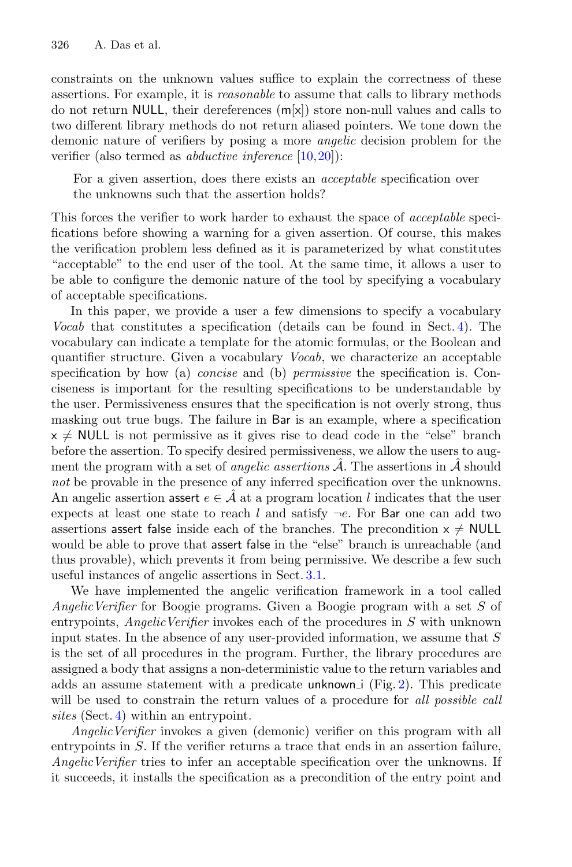constraints on the unknown values suffice to explain the correctness of these assertions. For example, it is *reasonable* to assume that calls to library methods do not return NULL, their dereferences  $(m[x])$  store non-null values and calls to two different library methods do not return aliased pointers. We tone down the demonic nature of verifiers by posing a more *angelic* decision problem for the verifier (also termed as *abductive inference* [\[10](#page-16-7)[,20](#page-17-4)]):

For a given assertion, does there exists an *acceptable* specification over the unknowns such that the assertion holds?

This forces the verifier to work harder to exhaust the space of *acceptable* specifications before showing a warning for a given assertion. Of course, this makes the verification problem less defined as it is parameterized by what constitutes "acceptable" to the end user of the tool. At the same time, it allows a user to be able to configure the demonic nature of the tool by specifying a vocabulary of acceptable specifications.

In this paper, we provide a user a few dimensions to specify a vocabulary *Vocab* that constitutes a specification (details can be found in Sect. [4\)](#page-8-0). The vocabulary can indicate a template for the atomic formulas, or the Boolean and quantifier structure. Given a vocabulary *Vocab*, we characterize an acceptable specification by how (a) *concise* and (b) *permissive* the specification is. Conciseness is important for the resulting specifications to be understandable by the user. Permissiveness ensures that the specification is not overly strong, thus masking out true bugs. The failure in Bar is an example, where a specification  $x \neq \text{NULL}$  is not permissive as it gives rise to dead code in the "else" branch before the assertion. To specify desired permissiveness, we allow the users to augment the program with a set of *angelic assertions*  $\tilde{A}$ . The assertions in  $\tilde{A}$  should *not* be provable in the presence of any inferred specification over the unknowns. An angelic assertion assert  $e \in \mathcal{A}$  at a program location l indicates that the user expects at least one state to reach  $l$  and satisfy  $\neg e$ . For Bar one can add two assertions assert false inside each of the branches. The precondition  $x \neq \text{NULL}$ would be able to prove that assert false in the "else" branch is unreachable (and thus provable), which prevents it from being permissive. We describe a few such useful instances of angelic assertions in Sect. [3.1.](#page-6-0)

We have implemented the angelic verification framework in a tool called *AngelicVerifier* for Boogie programs. Given a Boogie program with a set S of entrypoints, *AngelicVerifier* invokes each of the procedures in S with unknown input states. In the absence of any user-provided information, we assume that  $S$ is the set of all procedures in the program. Further, the library procedures are assigned a body that assigns a non-deterministic value to the return variables and adds an assume statement with a predicate unknown i (Fig. [2\)](#page-3-0). This predicate will be used to constrain the return values of a procedure for *all possible call sites* (Sect. [4\)](#page-8-0) within an entrypoint.

*AngelicVerifier* invokes a given (demonic) verifier on this program with all entrypoints in S. If the verifier returns a trace that ends in an assertion failure, *AngelicVerifier* tries to infer an acceptable specification over the unknowns. If it succeeds, it installs the specification as a precondition of the entry point and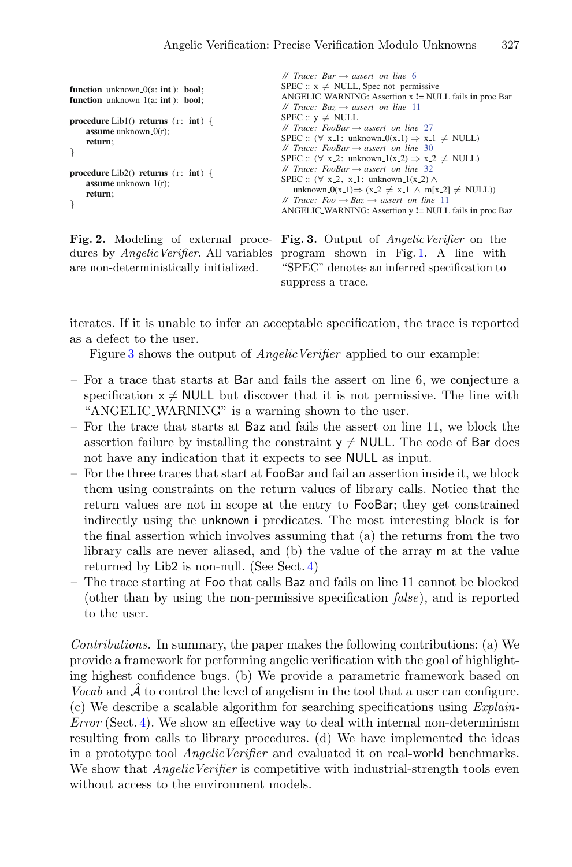```
function unknown_0(a: int): bool;
function unknown_1(a: int ): bool;
procedure Lib1() returns (r: int) {
    assume unknown 0(r);
    return;
}
procedure Lib2() returns (r: int) {
    assume unknown_1(r);
    return;
}
                                                       // Trace: Bar → assert on line 6
                                                       SPEC :: x \neq NULL, Spec not permissive
                                                      ANGELIC WARNING: Assertion x != NULL fails in proc Bar
                                                       // Trace: Baz → assert on line 11
                                                      SPEC :: y \neq NULL// Trace: FooBar → assert on line 27
                                                       SPEC :: (\forall x_1: unknown 0(x_1) \Rightarrow x_1 \neq NULL// Trace: FooBar → assert on line 30
                                                      SPEC :: (\forall x.2: unknown_1(x.2) \Rightarrow x.2 \neq NULL)// Trace: FooBar → assert on line 32
                                                       SPEC :: (\forall x.2, x.1: unknown_1(x.2) \land ...)unknown 0(x_1) \Rightarrow (x_2 \neq x_1 \land m[x_2] \neq NULL))
                                                       // Trace: Foo → Baz → assert on line 11
                                                       ANGELIC WARNING: Assertion y != NULL fails in proc Baz
```
<span id="page-3-0"></span>dures by *AngelicVerifier*. All variables are non-deterministically initialized.

<span id="page-3-1"></span>**Fig. 2.** Modeling of external proce-**Fig. 3.** Output of *AngelicVerifier* on the program shown in Fig. [1.](#page-1-0) A line with "SPEC" denotes an inferred specification to suppress a trace.

iterates. If it is unable to infer an acceptable specification, the trace is reported as a defect to the user.

Figure [3](#page-3-1) shows the output of *AngelicVerifier* applied to our example:

- For a trace that starts at Bar and fails the assert on line 6, we conjecture a specification  $x \neq \text{NULL}$  but discover that it is not permissive. The line with "ANGELIC WARNING" is a warning shown to the user.
- For the trace that starts at Baz and fails the assert on line 11, we block the assertion failure by installing the constraint  $y \neq \text{NULL}$ . The code of Bar does not have any indication that it expects to see NULL as input.
- For the three traces that start at FooBar and fail an assertion inside it, we block them using constraints on the return values of library calls. Notice that the return values are not in scope at the entry to FooBar; they get constrained indirectly using the unknown i predicates. The most interesting block is for the final assertion which involves assuming that (a) the returns from the two library calls are never aliased, and (b) the value of the array m at the value returned by Lib2 is non-null. (See Sect. [4\)](#page-9-0)
- The trace starting at Foo that calls Baz and fails on line 11 cannot be blocked (other than by using the non-permissive specification *false*), and is reported to the user.

*Contributions.* In summary, the paper makes the following contributions: (a) We provide a framework for performing angelic verification with the goal of highlighting highest confidence bugs. (b) We provide a parametric framework based on *Vocab* and  $\hat{\mathcal{A}}$  to control the level of angelism in the tool that a user can configure. (c) We describe a scalable algorithm for searching specifications using *Explain-Error* (Sect. [4\)](#page-8-0). We show an effective way to deal with internal non-determinism resulting from calls to library procedures. (d) We have implemented the ideas in a prototype tool *AngelicVerifier* and evaluated it on real-world benchmarks. We show that *AngelicVerifier* is competitive with industrial-strength tools even without access to the environment models.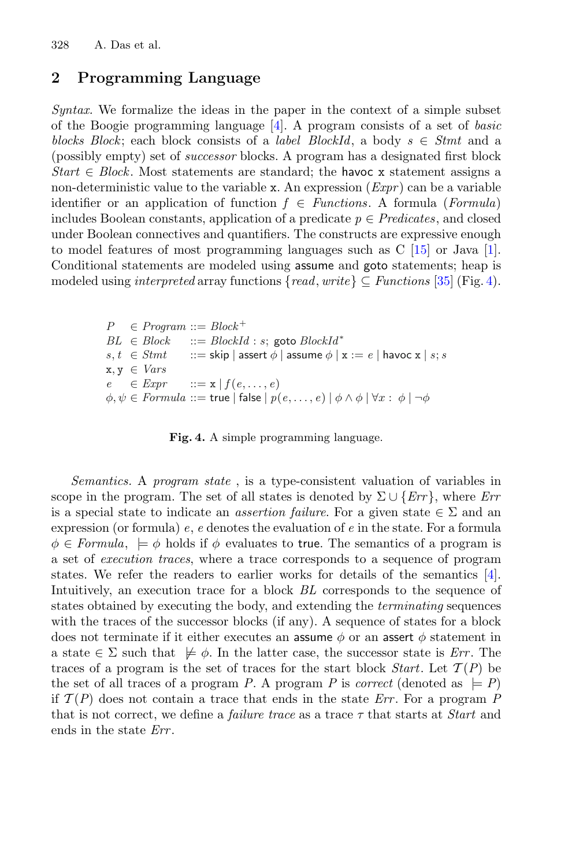## **2 Programming Language**

*Syntax.* We formalize the ideas in the paper in the context of a simple subset of the Boogie programming language [\[4](#page-16-5)]. A program consists of a set of *basic blocks Block*; each block consists of a *label BlockId*, a body  $s \in S$ tmt and a (possibly empty) set of *successor* blocks. A program has a designated first block *Start*  $\in Block$ . Most statements are standard; the havoc x statement assigns a non-deterministic value to the variable x. An expression (*Expr* ) can be a variable identifier or an application of function  $f \in Functions$ . A formula (*Formula*) includes Boolean constants, application of a predicate  $p \in Predicates$ , and closed under Boolean connectives and quantifiers. The constructs are expressive enough to model features of most programming languages such as C [\[15](#page-16-6)] or Java [\[1\]](#page-16-8). Conditional statements are modeled using assume and goto statements; heap is modeled using *interpreted* array functions  $\{read, write\} \subseteq Functions$  [\[35](#page-18-1)] (Fig. [4\)](#page-4-0).

> $P \in Program ::= Block^+$ <br> $BL \in Block \quad ::= Block$  $BL \in Block \t ::= BlockId : s;$  goto  $BlockId^*$ <br>  $s, t \in Stmt \t ::= skip \mid assert \phi \mid assume \ \phi \mid :$  $x :=$  skip | assert  $\phi$  | assume  $\phi$  |  $x := e$  | havoc x | *s*; *s*  $x, y \in Vars$ <br> $e \in Expr$  $::= x | f(e, \ldots, e)$  $\phi, \psi \in \text{Formula} :: = \text{true} | \text{false} | p(e, \ldots, e) | \phi \wedge \phi | \forall x : \phi | \neg \phi$

<span id="page-4-0"></span>**Fig. 4.** A simple programming language.

*Semantics.* A *program state* , is a type-consistent valuation of variables in scope in the program. The set of all states is denoted by  $\Sigma \cup \{Err\}$ , where *Err* is a special state to indicate an *assertion failure*. For a given state  $\in \Sigma$  and an expression (or formula) *e*, *e* denotes the evaluation of *e* in the state. For a formula  $\phi \in \text{Formula}, \ \models \phi \text{ holds if } \phi \text{ evaluates to true.}$  The semantics of a program is a set of *execution traces*, where a trace corresponds to a sequence of program states. We refer the readers to earlier works for details of the semantics [\[4\]](#page-16-5). Intuitively, an execution trace for a block *BL* corresponds to the sequence of states obtained by executing the body, and extending the *terminating* sequences with the traces of the successor blocks (if any). A sequence of states for a block does not terminate if it either executes an assume  $\phi$  or an assert  $\phi$  statement in a state  $\in \Sigma$  such that  $\models \phi$ . In the latter case, the successor state is *Err*. The traces of a program is the set of traces for the start block *Start*. Let  $\mathcal{T}(P)$  be the set of all traces of a program *P*. A program *P* is *correct* (denoted as  $= P$ ) if  $\mathcal{T}(P)$  does not contain a trace that ends in the state *Err*. For a program P that is not correct, we define a *failure trace* as a trace τ that starts at *Start* and ends in the state *Err* .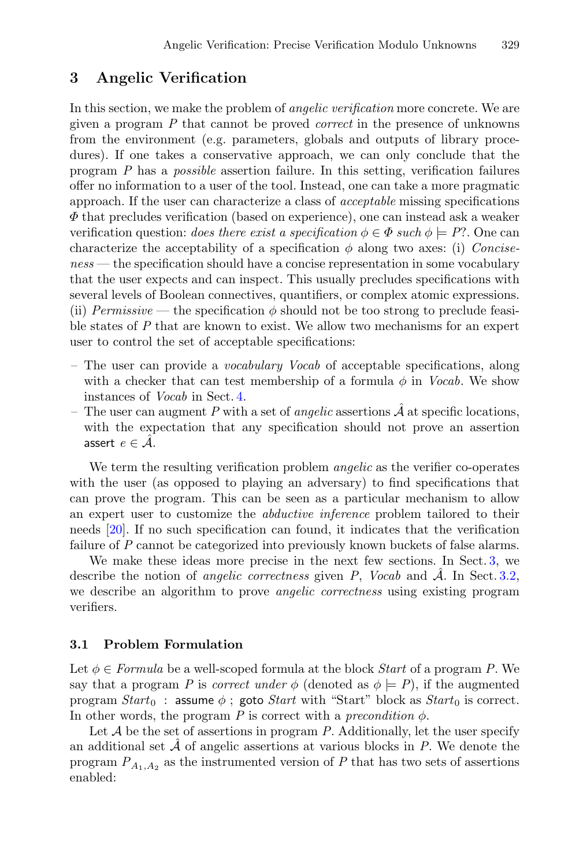### <span id="page-5-0"></span>**3 Angelic Verification**

In this section, we make the problem of *angelic verification* more concrete. We are given a program *P* that cannot be proved *correct* in the presence of unknowns from the environment (e.g. parameters, globals and outputs of library procedures). If one takes a conservative approach, we can only conclude that the program *P* has a *possible* assertion failure. In this setting, verification failures offer no information to a user of the tool. Instead, one can take a more pragmatic approach. If the user can characterize a class of *acceptable* missing specifications  $\Phi$  that precludes verification (based on experience), one can instead ask a weaker verification question: *does there exist a specification*  $\phi \in \Phi$  *such*  $\phi \models P$ ?. One can characterize the acceptability of a specification  $\phi$  along two axes: (i) *Conciseness* — the specification should have a concise representation in some vocabulary that the user expects and can inspect. This usually precludes specifications with several levels of Boolean connectives, quantifiers, or complex atomic expressions. (ii) *Permissive* — the specification  $\phi$  should not be too strong to preclude feasible states of *P* that are known to exist. We allow two mechanisms for an expert user to control the set of acceptable specifications:

- The user can provide a *vocabulary Vocab* of acceptable specifications, along with a checker that can test membership of a formula  $\phi$  in *Vocab*. We show instances of *Vocab* in Sect. [4.](#page-8-0)
- The user can augment  $P$  with a set of *angelic* assertions  $\hat{\mathcal{A}}$  at specific locations, with the expectation that any specification should not prove an assertion assert  $e \in \hat{\mathcal{A}}$ .

We term the resulting verification problem *angelic* as the verifier co-operates with the user (as opposed to playing an adversary) to find specifications that can prove the program. This can be seen as a particular mechanism to allow an expert user to customize the *abductive inference* problem tailored to their needs [\[20](#page-17-4)]. If no such specification can found, it indicates that the verification failure of P cannot be categorized into previously known buckets of false alarms.

We make these ideas more precise in the next few sections. In Sect. [3,](#page-5-0) we describe the notion of *angelic correctness* given *P*, *Vocab* and  $\hat{A}$ . In Sect. [3.2,](#page-6-1) we describe an algorithm to prove *angelic correctness* using existing program verifiers.

#### **3.1 Problem Formulation**

Let  $\phi \in \text{Formula be a well-s coped formula at the block Start of a program P. We$ say that a program *P* is *correct under*  $\phi$  (denoted as  $\phi \models P$ ), if the augmented program  $Start_0$ : assume  $\phi$ ; goto *Start* with "Start" block as *Start*<sub>0</sub> is correct. In other words, the program  $P$  is correct with a *precondition*  $\phi$ .

Let  $A$  be the set of assertions in program  $P$ . Additionally, let the user specify an additional set  $\tilde{\mathcal{A}}$  of angelic assertions at various blocks in  $P$ . We denote the program  $P_{A_1,A_2}$  as the instrumented version of  $P$  that has two sets of assertions enabled: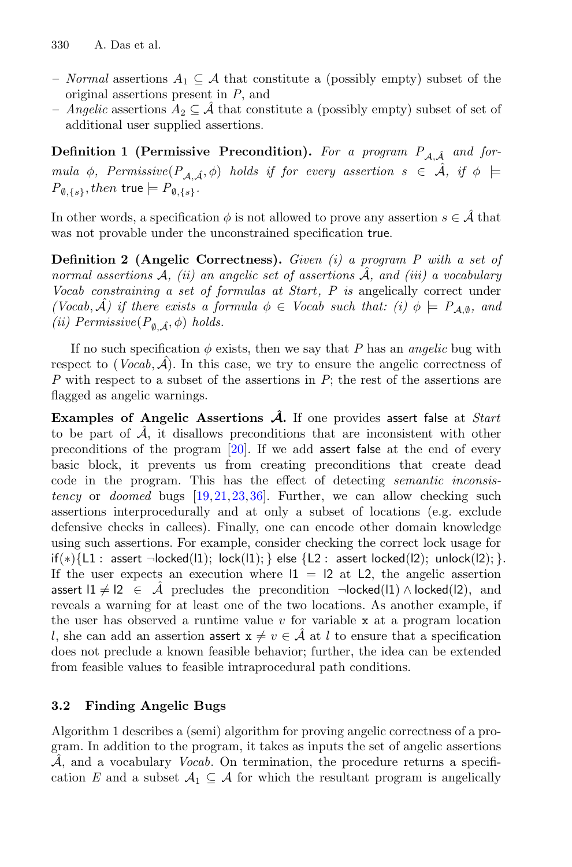- *Normal* assertions A<sup>1</sup> ⊆ A that constitute a (possibly empty) subset of the original assertions present in *P*, and
- *Angelic* assertions <sup>A</sup><sup>2</sup> <sup>⊆</sup> <sup>A</sup><sup>ˆ</sup> that constitute a (possibly empty) subset of set of additional user supplied assertions.

**Definition 1 (Permissive Precondition).** For a program  $P_{A,\hat{A}}$  and for*mula*  $\phi$ *, Permissive*( $P_{A,\hat{A}}, \phi$ ) *holds if for every assertion s*  $\in \hat{A}$ *, if*  $\phi$   $\models$  $P_{\emptyset, \{s\}}$ , then true  $\models P_{\emptyset, \{s\}}$ .

<span id="page-6-0"></span>In other words, a specification  $\phi$  is not allowed to prove any assertion  $s \in \hat{\mathcal{A}}$  that was not provable under the unconstrained specification true.

**Definition 2 (Angelic Correctness).** *Given (i) a program P with a set of normal assertions* <sup>A</sup>*, (ii) an angelic set of assertions* <sup>A</sup>ˆ*, and (iii) a vocabulary Vocab constraining a set of formulas at Start, P is angelically correct under (Vocab,*  $\hat{A}$ *)* if there exists a formula  $\phi \in$  *Vocab such that: (i)*  $\phi \models P_{A,\emptyset}$ *, and (ii)* Permissive $(P_{\emptyset} \hat{A}, \phi)$  *holds.* 

If no such specification  $\phi$  exists, then we say that *P* has an *angelic* bug with respect to (*Vocab*,  $\hat{A}$ ). In this case, we try to ensure the angelic correctness of *P* with respect to a subset of the assertions in *P*; the rest of the assertions are flagged as angelic warnings.

**Examples of Angelic Assertions** *<sup>A</sup>***ˆ***.* If one provides assert false at *Start* to be part of  $\hat{\mathcal{A}}$ , it disallows preconditions that are inconsistent with other preconditions of the program [\[20](#page-17-4)]. If we add assert false at the end of every basic block, it prevents us from creating preconditions that create dead code in the program. This has the effect of detecting *semantic inconsistency* or *doomed* bugs [\[19,](#page-17-5)[21](#page-17-6)[,23](#page-17-7)[,36](#page-18-2)]. Further, we can allow checking such assertions interprocedurally and at only a subset of locations (e.g. exclude defensive checks in callees). Finally, one can encode other domain knowledge using such assertions. For example, consider checking the correct lock usage for if(\*){L1 : assert ¬locked(l1); lock(l1); } else {L2 : assert locked(l2); unlock(l2); }. If the user expects an execution where  $11 = 12$  at L2, the angelic assertion assert  $11 \neq 12$  ∈  $\hat{\mathcal{A}}$  precludes the precondition  $\neg$ locked(11)  $\land$  locked(12), and reveals a warning for at least one of the two locations. As another example, if the user has observed a runtime value  $v$  for variable  $x$  at a program location l, she can add an assertion assert  $x \neq v \in \hat{\mathcal{A}}$  at l to ensure that a specification does not preclude a known feasible behavior; further, the idea can be extended from feasible values to feasible intraprocedural path conditions.

### <span id="page-6-1"></span>**3.2 Finding Angelic Bugs**

Algorithm 1 describes a (semi) algorithm for proving angelic correctness of a program. In addition to the program, it takes as inputs the set of angelic assertions <sup>A</sup>ˆ, and a vocabulary *Vocab*. On termination, the procedure returns a specification *E* and a subset  $A_1 \subseteq A$  for which the resultant program is angelically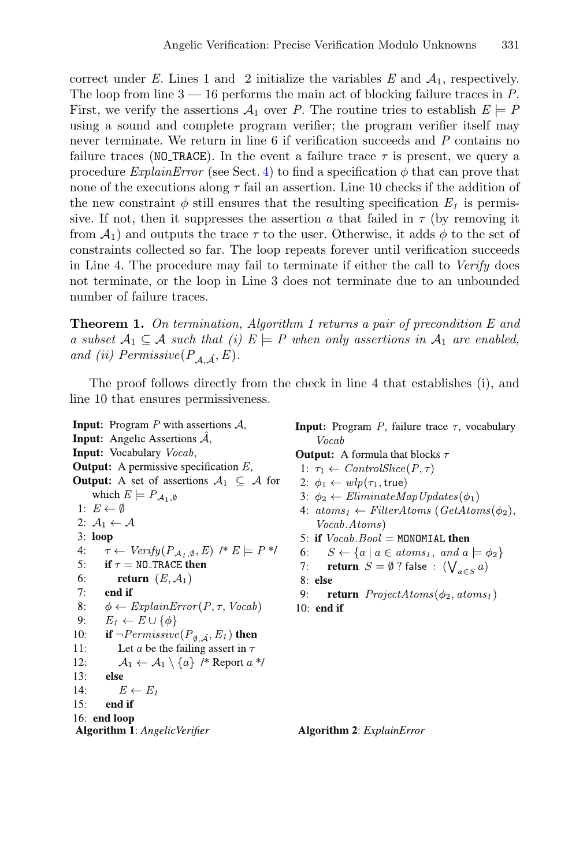correct under *E*. Lines 1 and 2 initialize the variables *E* and  $A_1$ , respectively. The loop from line 3 — 16 performs the main act of blocking failure traces in *P*. First, we verify the assertions  $\mathcal{A}_1$  over *P*. The routine tries to establish  $E \models P$ using a sound and complete program verifier; the program verifier itself may never terminate. We return in line 6 if verification succeeds and *P* contains no failure traces (NO\_TRACE). In the event a failure trace  $\tau$  is present, we query a procedure *ExplainError* (see Sect. [4\)](#page-8-0) to find a specification  $\phi$  that can prove that none of the executions along  $\tau$  fail an assertion. Line 10 checks if the addition of the new constraint  $\phi$  still ensures that the resulting specification  $E_1$  is permissive. If not, then it suppresses the assertion a that failed in  $\tau$  (by removing it from  $\mathcal{A}_1$ ) and outputs the trace  $\tau$  to the user. Otherwise, it adds  $\phi$  to the set of constraints collected so far. The loop repeats forever until verification succeeds in Line 4. The procedure may fail to terminate if either the call to *Verify* does not terminate, or the loop in Line 3 does not terminate due to an unbounded number of failure traces.

**Theorem 1.** *On termination, Algorithm 1 returns a pair of precondition E and a subset*  $A_1 \subseteq A$  *such that* (*i*)  $E \models P$  *when only assertions in*  $A_1$  *are enabled, and (ii)*  $Permissible(P_{A,\hat{A}},E)$ *.* 

The proof follows directly from the check in line 4 that establishes (i), and line 10 that ensures permissiveness.

**Input:** Program  $P$  with assertions  $A$ , **Input:** Angelic Assertions  $\hat{A}$ , **Input:** Vocabulary *Vocab*, **Output:** A permissive specification  $E$ , **Output:** A set of assertions  $A_1 \subseteq A$  for which  $E \models P_{A_1,\emptyset}$ 1:  $E \leftarrow \emptyset$ 2:  $A_1 \leftarrow A$  $3:$  loop  $\tau \leftarrow Verify(P_{\mathcal{A}_I,\emptyset},E)$  /\*  $E \models P^*$ /  $4:$  $5:$ if  $\tau =$  NO\_TRACE then 6: return  $(E, \mathcal{A}_1)$  $7:$ end if 8:  $\phi \leftarrow ExplainError(P, \tau, Vocab)$ 9:  $E_1 \leftarrow E \cup \{\phi\}$ if  $\neg$ *Permissive*( $P_{\emptyset,\hat{\mathcal{A}}}, E_1$ ) then  $10:$  $11:$ Let *a* be the failing assert in  $\tau$  $12:$  $\mathcal{A}_1 \leftarrow \mathcal{A}_1 \setminus \{a\}$  /\* Report  $a^*$ /  $13:$ else  $14:$  $E \leftarrow E_I$  $15:$ end if 16: end loop **Algorithm 1:** AngelicVerifier

**Input:** Program P, failure trace  $\tau$ , vocabulary Vocab

#### **Output:** A formula that blocks  $\tau$

- 1:  $\tau_1 \leftarrow ControlSlice(P, \tau)$
- 2:  $\phi_1 \leftarrow wlp(\tau_1, true)$
- 3:  $\phi_2 \leftarrow EliminateMapUpdate(\phi_1)$
- 4:  $atoms_1 \leftarrow FilterAtoms(GetAtoms(\phi_2),$ Vocab.Atoms)
- 5: if  $Vocab. Bool = MOMIMAL$  then
- $S \leftarrow \{a \mid a \in atoms_1, \text{ and } a \models \phi_2\}$  $6:$
- $7:$ **return**  $S = \emptyset$ ? false :  $(\bigvee_{a \in S} a)$
- 8: else
- 9: **return**  $ProjectAtoms(\phi_2, atoms_1)$
- $10:$  end if

**Algorithm 2:** ExplainError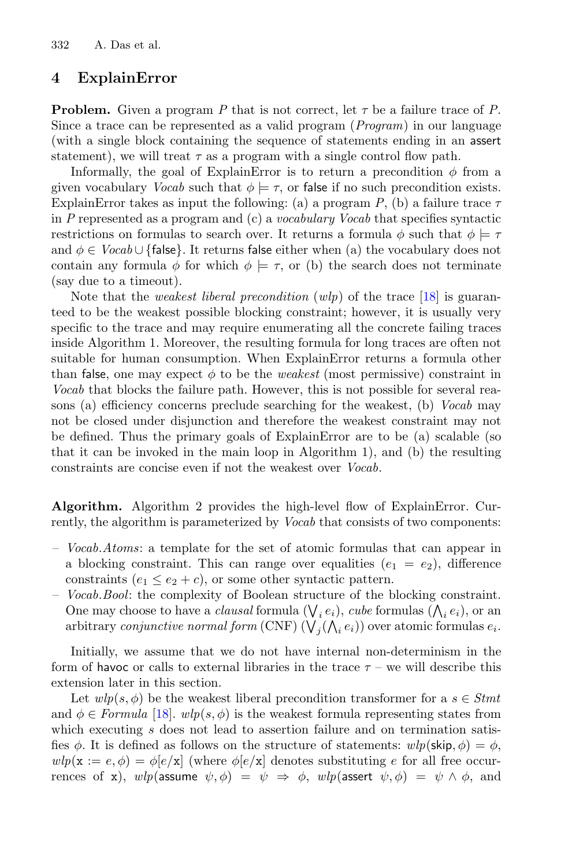### <span id="page-8-0"></span>**4 ExplainError**

**Problem.** Given a program *P* that is not correct, let  $\tau$  be a failure trace of *P*. Since a trace can be represented as a valid program (*Program*) in our language (with a single block containing the sequence of statements ending in an assert statement), we will treat  $\tau$  as a program with a single control flow path.

Informally, the goal of ExplainError is to return a precondition  $\phi$  from a given vocabulary *Vocab* such that  $\phi \models \tau$ , or false if no such precondition exists. ExplainError takes as input the following: (a) a program *P*, (b) a failure trace  $\tau$ in *P* represented as a program and (c) a *vocabulary Vocab* that specifies syntactic restrictions on formulas to search over. It returns a formula  $\phi$  such that  $\phi \models \tau$ and  $\phi \in \text{Vocab} \cup \{\text{false}\}\.$  It returns false either when (a) the vocabulary does not contain any formula  $\phi$  for which  $\phi \models \tau$ , or (b) the search does not terminate (say due to a timeout).

Note that the *weakest liberal precondition* (*wlp*) of the trace [\[18](#page-17-8)] is guaranteed to be the weakest possible blocking constraint; however, it is usually very specific to the trace and may require enumerating all the concrete failing traces inside Algorithm 1. Moreover, the resulting formula for long traces are often not suitable for human consumption. When ExplainError returns a formula other than false, one may expect  $\phi$  to be the *weakest* (most permissive) constraint in *Vocab* that blocks the failure path. However, this is not possible for several reasons (a) efficiency concerns preclude searching for the weakest, (b) *Vocab* may not be closed under disjunction and therefore the weakest constraint may not be defined. Thus the primary goals of ExplainError are to be (a) scalable (so that it can be invoked in the main loop in Algorithm 1), and (b) the resulting constraints are concise even if not the weakest over *Vocab*.

**Algorithm.** Algorithm 2 provides the high-level flow of ExplainError. Currently, the algorithm is parameterized by *Vocab* that consists of two components:

- *Vocab*.*Atoms*: a template for the set of atomic formulas that can appear in a blocking constraint. This can range over equalities  $(e_1 = e_2)$ , difference constraints  $(e_1 \leq e_2 + c)$ , or some other syntactic pattern.
- *Vocab*.*Bool*: the complexity of Boolean structure of the blocking constraint. One may choose to have a *clausal* formula  $(\bigvee_i e_i)$ , *cube* formulas  $(\bigwedge_i e_i)$ , or an  $\alpha$  arbitrary *conjunctive normal form* (CNF)  $(\bigvee_j (\bigwedge_i e_i))$  over atomic formulas  $e_i$ .

Initially, we assume that we do not have internal non-determinism in the form of havoc or calls to external libraries in the trace  $\tau$  – we will describe this extension later in this section.

Let  $wlp(s, \phi)$  be the weakest liberal precondition transformer for a  $s \in Stmt$ and  $\phi \in \text{Formula } [18]$  $\phi \in \text{Formula } [18]$ .  $wlp(s, \phi)$  is the weakest formula representing states from which executing s does not lead to assertion failure and on termination satisfies  $\phi$ . It is defined as follows on the structure of statements:  $wlp(\text{skip}, \phi) = \phi$ ,  $wlp(x := e, \phi) = \phi[e/x]$  (where  $\phi[e/x]$  denotes substituting e for all free occurrences of x),  $wlp$ (assume  $\psi, \phi$ ) =  $\psi \Rightarrow \phi$ ,  $wlp$ (assert  $\psi, \phi$ ) =  $\psi \wedge \phi$ , and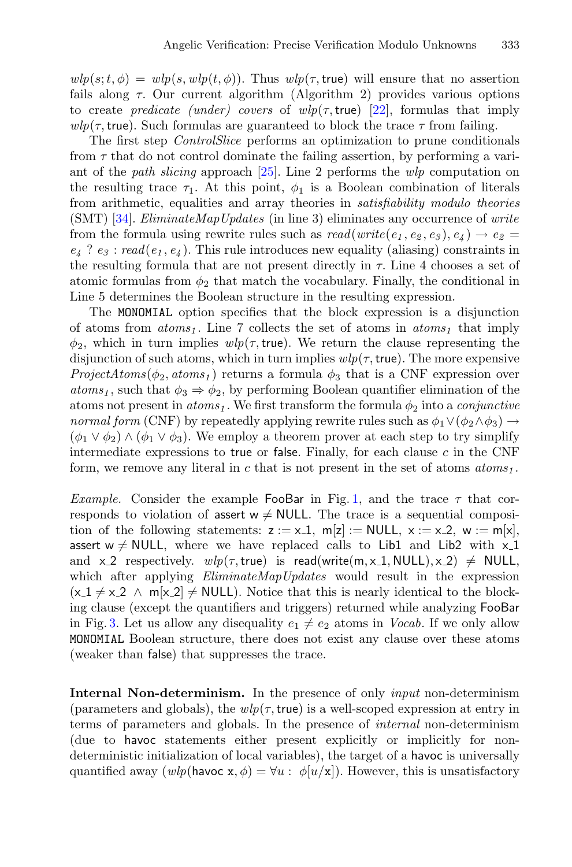$wlp(s; t, \phi) = wlp(s, whpt, \phi)$ . Thus  $wlp(\tau, true)$  will ensure that no assertion fails along  $\tau$ . Our current algorithm (Algorithm 2) provides various options to create *predicate (under)* covers of  $wlp(\tau, true)$  [\[22](#page-17-0)], formulas that imply  $wlp(\tau, true)$ . Such formulas are guaranteed to block the trace  $\tau$  from failing.

The first step *ControlSlice* performs an optimization to prune conditionals from  $\tau$  that do not control dominate the failing assertion, by performing a variant of the *path slicing* approach [\[25](#page-17-9)]. Line 2 performs the *wlp* computation on the resulting trace  $\tau_1$ . At this point,  $\phi_1$  is a Boolean combination of literals from arithmetic, equalities and array theories in *satisfiability modulo theories* (SMT) [\[34\]](#page-18-0). *EliminateMapUpdates* (in line 3) eliminates any occurrence of *write* from the formula using rewrite rules such as  $read(write(e_1, e_2, e_3), e_4) \rightarrow e_2 =$  $e_i$  ?  $e_3$ :  $read(e_1, e_4)$ . This rule introduces new equality (aliasing) constraints in the resulting formula that are not present directly in  $\tau$ . Line 4 chooses a set of atomic formulas from  $\phi_2$  that match the vocabulary. Finally, the conditional in Line 5 determines the Boolean structure in the resulting expression.

The MONOMIAL option specifies that the block expression is a disjunction of atoms from  $atoms<sub>1</sub>$ . Line 7 collects the set of atoms in  $atoms<sub>1</sub>$  that imply  $\phi_2$ , which in turn implies  $wlp(\tau, true)$ . We return the clause representing the disjunction of such atoms, which in turn implies  $wlp(\tau, true)$ . The more expensive *ProjectAtoms*( $\phi_2$ , *atoms*<sub>1</sub>) returns a formula  $\phi_3$  that is a CNF expression over  $atoms<sub>1</sub>$ , such that  $\phi_3 \Rightarrow \phi_2$ , by performing Boolean quantifier elimination of the atoms not present in  $atoms_1$ . We first transform the formula  $\phi_2$  into a *conjunctive normal form* (CNF) by repeatedly applying rewrite rules such as  $\phi_1 \vee (\phi_2 \wedge \phi_3) \rightarrow$  $(\phi_1 \vee \phi_2) \wedge (\phi_1 \vee \phi_3)$ . We employ a theorem prover at each step to try simplify intermediate expressions to true or false. Finally, for each clause  $c$  in the CNF form, we remove any literal in c that is not present in the set of atoms *atoms<sup>1</sup>* .

*Example.* Consider the example FooBar in Fig. [1,](#page-1-0) and the trace  $\tau$  that corresponds to violation of assert  $w \neq \text{NULL}$ . The trace is a sequential composition of the following statements:  $z := x_1$ ,  $m[z] := NULL$ ,  $x := x_2$ ,  $w := m[x]$ , assert  $w \neq \text{NULL}$ , where we have replaced calls to Lib1 and Lib2 with  $x \perp$ and  $x_2$  respectively.  $wlp(\tau, true)$  is read(write(m, x<sub>-1</sub>, NULL), x<sub>-2</sub>)  $\neq$  NULL, which after applying *EliminateMapUpdates* would result in the expression  $(x_1 \neq x_2 \land m[x_2] \neq \text{NULL})$ . Notice that this is nearly identical to the blocking clause (except the quantifiers and triggers) returned while analyzing FooBar in Fig. [3.](#page-3-1) Let us allow any disequality  $e_1 \neq e_2$  atoms in *Vocab*. If we only allow MONOMIAL Boolean structure, there does not exist any clause over these atoms (weaker than false) that suppresses the trace.

<span id="page-9-0"></span>**Internal Non-determinism.** In the presence of only *input* non-determinism (parameters and globals), the  $wlp(\tau, true)$  is a well-scoped expression at entry in terms of parameters and globals. In the presence of *internal* non-determinism (due to havoc statements either present explicitly or implicitly for nondeterministic initialization of local variables), the target of a havoc is universally quantified away  $(wlp(\text{havoc } x, \phi) = \forall u : \phi[u/x])$ . However, this is unsatisfactory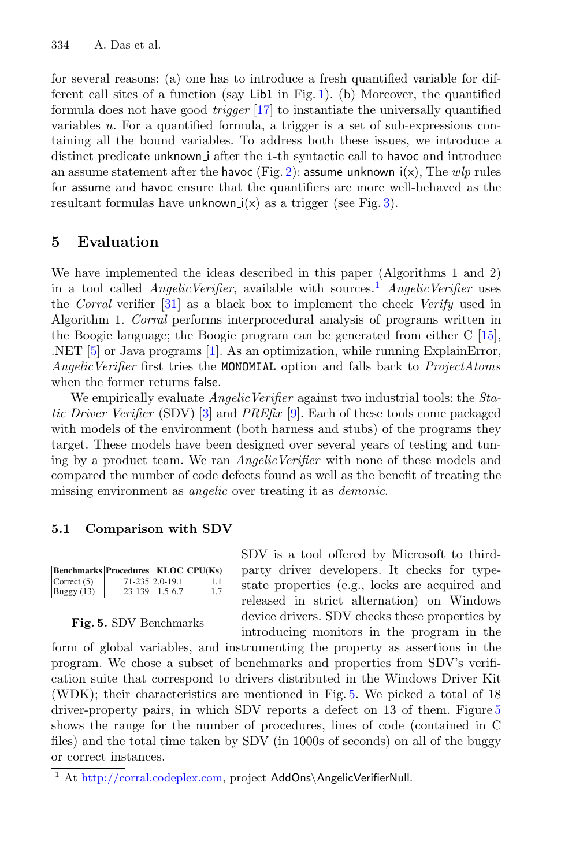for several reasons: (a) one has to introduce a fresh quantified variable for different call sites of a function (say  $Lib1$  in Fig. [1\)](#page-1-0). (b) Moreover, the quantified formula does not have good *trigger* [\[17](#page-17-10)] to instantiate the universally quantified variables u. For a quantified formula, a trigger is a set of sub-expressions containing all the bound variables. To address both these issues, we introduce a distinct predicate unknown i after the i-th syntactic call to havoc and introduce an assume statement after the havoc (Fig. [2\)](#page-3-0): assume unknown  $i(x)$ , The  $wlp$  rules for assume and havoc ensure that the quantifiers are more well-behaved as the resultant formulas have unknown  $i(x)$  as a trigger (see Fig. [3\)](#page-3-1).

## **5 Evaluation**

We have implemented the ideas described in this paper (Algorithms 1 and 2) in a tool called *AngelicVerifier*, available with sources.<sup>[1](#page-10-0)</sup> *AngelicVerifier* uses the *Corral* verifier [\[31](#page-17-11)] as a black box to implement the check *Verify* used in Algorithm 1. *Corral* performs interprocedural analysis of programs written in the Boogie language; the Boogie program can be generated from either C [\[15\]](#page-16-6), .NET [\[5](#page-16-9)] or Java programs [\[1\]](#page-16-8). As an optimization, while running ExplainError, *AngelicVerifier* first tries the MONOMIAL option and falls back to *ProjectAtoms* when the former returns false.

We empirically evaluate *AngelicVerifier* against two industrial tools: the *Static Driver Verifier* (SDV) [\[3\]](#page-16-2) and *PREfix* [\[9](#page-16-10)]. Each of these tools come packaged with models of the environment (both harness and stubs) of the programs they target. These models have been designed over several years of testing and tuning by a product team. We ran *AngelicVerifier* with none of these models and compared the number of code defects found as well as the benefit of treating the missing environment as *angelic* over treating it as *demonic*.

#### **5.1 Comparison with SDV**

| <b>Benchmarks Procedures   KLOC CPU(Ks)</b> |                       |  |
|---------------------------------------------|-----------------------|--|
| Correct $(5)$                               | $71 - 235$   2.0-19.1 |  |
| Buggy $(13)$                                | 23-139 1.5-6.7        |  |

#### **Fig. 5.** SDV Benchmarks

SDV is a tool offered by Microsoft to thirdparty driver developers. It checks for typestate properties (e.g., locks are acquired and released in strict alternation) on Windows device drivers. SDV checks these properties by introducing monitors in the program in the

<span id="page-10-1"></span>form of global variables, and instrumenting the property as assertions in the program. We chose a subset of benchmarks and properties from SDV's verification suite that correspond to drivers distributed in the Windows Driver Kit (WDK); their characteristics are mentioned in Fig. [5.](#page-10-1) We picked a total of 18 driver-property pairs, in which SDV reports a defect on 13 of them. Figure [5](#page-10-1) shows the range for the number of procedures, lines of code (contained in C files) and the total time taken by SDV (in 1000s of seconds) on all of the buggy or correct instances.

<span id="page-10-0"></span><sup>1</sup> At [http://corral.codeplex.com,](http://corral.codeplex.com) project AddOns\AngelicVerifierNull.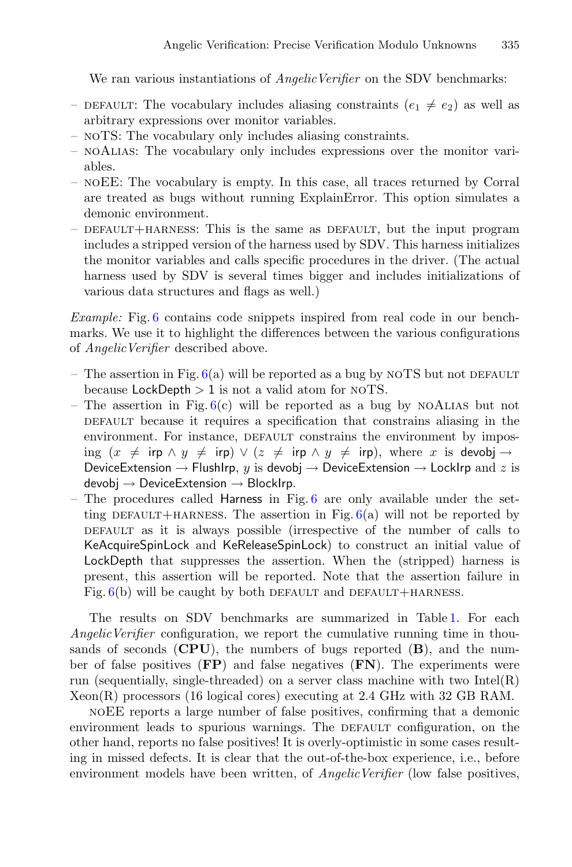We ran various instantiations of *AngelicVerifier* on the SDV benchmarks:

- DEFAULT: The vocabulary includes aliasing constraints  $(e_1 \neq e_2)$  as well as arbitrary expressions over monitor variables.
- noTS: The vocabulary only includes aliasing constraints.
- noAlias: The vocabulary only includes expressions over the monitor variables.
- noEE: The vocabulary is empty. In this case, all traces returned by Corral are treated as bugs without running ExplainError. This option simulates a demonic environment.
- $-$  DEFAULT+HARNESS: This is the same as DEFAULT, but the input program includes a stripped version of the harness used by SDV. This harness initializes the monitor variables and calls specific procedures in the driver. (The actual harness used by SDV is several times bigger and includes initializations of various data structures and flags as well.)

*Example:* Fig. [6](#page-12-0) contains code snippets inspired from real code in our benchmarks. We use it to highlight the differences between the various configurations of *AngelicVerifier* described above.

- The assertion in Fig.  $6(a)$  $6(a)$  will be reported as a bug by NOTS but not DEFAULT because  $LockDepth > 1$  is not a valid atom for NOTS.
- The assertion in Fig.  $6(c)$  $6(c)$  will be reported as a bug by NOALIAS but not default because it requires a specification that constrains aliasing in the environment. For instance, DEFAULT constrains the environment by imposing  $(x \neq \text{irp} \land y \neq \text{irp}) \lor (z \neq \text{irp} \land y \neq \text{irp}),$  where x is devobj → DeviceExtension  $\rightarrow$  FlushIrp, y is devobj  $\rightarrow$  DeviceExtension  $\rightarrow$  LockIrp and z is devobj  $\rightarrow$  DeviceExtension  $\rightarrow$  BlockIrp.
- The procedures called Harness in Fig. [6](#page-12-0) are only available under the setting DEFAULT+HARNESS. The assertion in Fig.  $6(a)$  $6(a)$  will not be reported by default as it is always possible (irrespective of the number of calls to KeAcquireSpinLock and KeReleaseSpinLock) to construct an initial value of LockDepth that suppresses the assertion. When the (stripped) harness is present, this assertion will be reported. Note that the assertion failure in Fig.  $6(b)$  $6(b)$  will be caught by both DEFAULT and DEFAULT+HARNESS.

The results on SDV benchmarks are summarized in Table [1.](#page-12-1) For each *AngelicVerifier* configuration, we report the cumulative running time in thousands of seconds (**CPU**), the numbers of bugs reported (**B**), and the number of false positives (**FP**) and false negatives (**FN**). The experiments were run (sequentially, single-threaded) on a server class machine with two  $Intel(R)$ Xeon(R) processors (16 logical cores) executing at 2.4 GHz with 32 GB RAM.

noEE reports a large number of false positives, confirming that a demonic environment leads to spurious warnings. The DEFAULT configuration, on the other hand, reports no false positives! It is overly-optimistic in some cases resulting in missed defects. It is clear that the out-of-the-box experience, i.e., before environment models have been written, of *AngelicVerifier* (low false positives,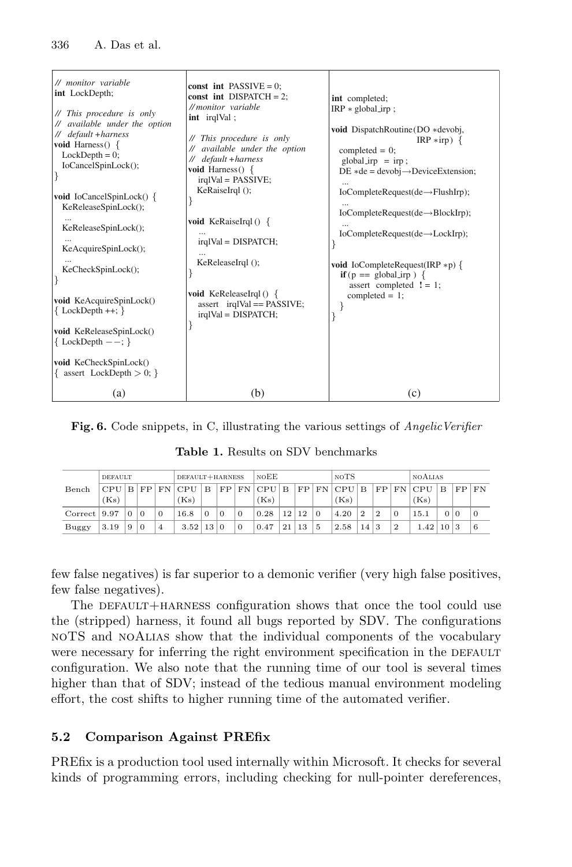| // monitor variable<br>int LockDepth;<br>// This procedure is only<br>// available under the option<br>// default + harness<br>void Harness $() \{$<br>$LockDepth = 0$ ;<br>IoCancelSpinLock();<br>void $IoC$ ancelSpinLock() {<br>KeReleaseSpinLock();<br>KeReleaseSpinLock();<br>KeAcquireSpinLock();<br>KeCheckSpinLock();<br>void KeAcquireSpinLock()<br>$\{LockDepth ++; \}$<br>void KeReleaseSpinLock()<br>$\{LockDepth --; \}$<br>void KeCheckSpinLock()<br>$\{$ assert LockDepth $> 0;$ | const int PASSIVE = $0$ ;<br>const int $DISPATH = 2$ :<br>//monitor variable<br>int irqlVal;<br>// This procedure is only<br>// available under the option<br>// default + harness<br>void Harness $() \{$<br>$irq1Val = PASSIVE;$<br>KeRaiseIrql ();<br>void KeRaiseIrql $() \{$<br>irqlVal = DISPATCH;<br>KeReleaseIrgl ();<br>void KeReleaseIrq $1() \{$<br>$assert$ irglVal = PASSIVE;<br>irqlVal = DISPATCH; | int completed;<br>$IRP * global_i$<br>void DispatchRoutine(DO *devobj,<br>$IRP *irp)$ {<br>completed $= 0$ ;<br>$global_irp = irp$ ;<br>$DE *de = devobj \rightarrow DeviceExtension;$<br>$IoCompleteRequest(de \rightarrow FluxhIrp);$<br>$IoCompleteRequest(de \rightarrow BlockIrp);$<br>$IoCompleteRequest(de \rightarrow LockIrp);$<br><b>void</b> IoCompleteRequest(IRP $*$ p) {<br>$if(p == global_irp) \{$<br>assert completed $!= 1$ ;<br>completed $= 1$ ;<br>€ |
|-------------------------------------------------------------------------------------------------------------------------------------------------------------------------------------------------------------------------------------------------------------------------------------------------------------------------------------------------------------------------------------------------------------------------------------------------------------------------------------------------|-------------------------------------------------------------------------------------------------------------------------------------------------------------------------------------------------------------------------------------------------------------------------------------------------------------------------------------------------------------------------------------------------------------------|---------------------------------------------------------------------------------------------------------------------------------------------------------------------------------------------------------------------------------------------------------------------------------------------------------------------------------------------------------------------------------------------------------------------------------------------------------------------------|
| (a)                                                                                                                                                                                                                                                                                                                                                                                                                                                                                             | (b)                                                                                                                                                                                                                                                                                                                                                                                                               | (c)                                                                                                                                                                                                                                                                                                                                                                                                                                                                       |

<span id="page-12-0"></span>**Fig. 6.** Code snippets, in C, illustrating the various settings of *AngelicVerifier*

<span id="page-12-1"></span>**Table 1.** Results on SDV benchmarks

|         | <b>DEFAULT</b> |          |          | DEFAULT+HARNESS |      |          | NOEE        |              |             |    | NOTS |    |      |                | <b>NOALIAS</b> |                |      |                 |                 |          |
|---------|----------------|----------|----------|-----------------|------|----------|-------------|--------------|-------------|----|------|----|------|----------------|----------------|----------------|------|-----------------|-----------------|----------|
| Bench   | CPU            | B        | FP       | FN              | CPU  | B        | $_{\rm FP}$ | FN           | $ $ CPU $ $ | B  | FP   | FN | CPU  | B              | FP             | FN             | CPU  | B               | FP <sub>1</sub> | FN       |
|         | (Ks)           |          |          |                 | (Ks) |          |             |              | (Ks)        |    |      |    | (Ks) |                |                |                | (Ks) |                 |                 |          |
| Correct | 9.97           | $\Omega$ | $\Omega$ | 0               | 16.8 | $\Omega$ | $\theta$    |              | 0.28        | 12 | 12   | 0  | 4.20 | $\overline{2}$ | $\overline{2}$ | $\mathbf{0}$   | 15.1 | $\theta$        | $\Omega$        | $\theta$ |
| Buggy   | 3.19           | 9        | $\theta$ | 4               | 3.52 | 13 0     |             | $\mathbf{0}$ | 0.47        | 21 | 13   | 5  | 2.58 | 14             | 3              | $\overline{2}$ | .42  | 10 <sup>1</sup> | 3               | 6        |
|         |                |          |          |                 |      |          |             |              |             |    |      |    |      |                |                |                |      |                 |                 |          |

few false negatives) is far superior to a demonic verifier (very high false positives, few false negatives).

The DEFAULT+HARNESS configuration shows that once the tool could use the (stripped) harness, it found all bugs reported by SDV. The configurations noTS and noAlias show that the individual components of the vocabulary were necessary for inferring the right environment specification in the DEFAULT configuration. We also note that the running time of our tool is several times higher than that of SDV; instead of the tedious manual environment modeling effort, the cost shifts to higher running time of the automated verifier.

### **5.2 Comparison Against PREfix**

PREfix is a production tool used internally within Microsoft. It checks for several kinds of programming errors, including checking for null-pointer dereferences,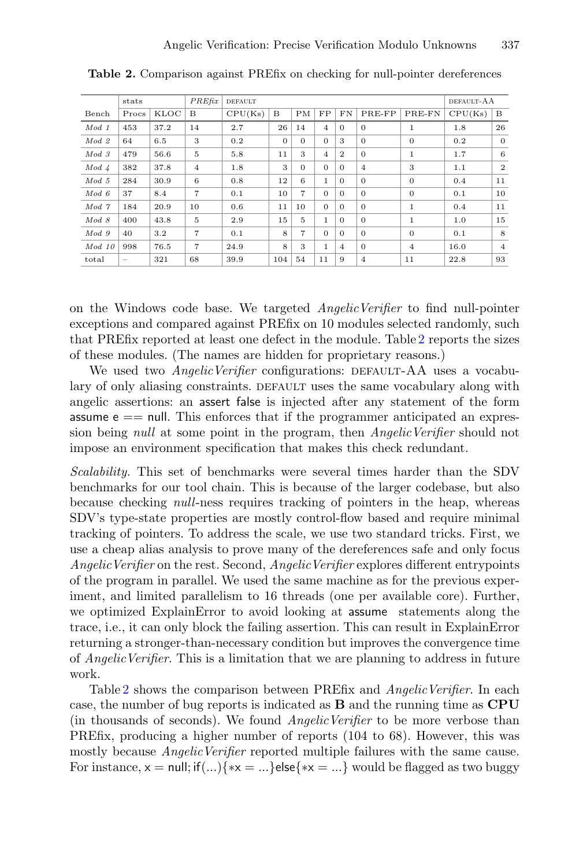|         | stats |      | PREF           | <b>DEFAULT</b> |          |                |                |                |                |                | DEFAULT-AA |                |  |
|---------|-------|------|----------------|----------------|----------|----------------|----------------|----------------|----------------|----------------|------------|----------------|--|
| Bench   | Procs | KLOC | B              | CPU(Ks)        | B        | <b>PM</b>      | $_{\rm FP}$    | FN             | PRE-FP         | PRE-FN         | CPU(Ks)    | B              |  |
| $Mod_1$ | 453   | 37.2 | 14             | 2.7            | 26       | 14             | $\overline{4}$ | $\Omega$       | $\Omega$       | 1              | 1.8        | 26             |  |
| $Mod_2$ | 64    | 6.5  | 3              | 0.2            | $\Omega$ | $\Omega$       | $\Omega$       | 3              | $\Omega$       | $\overline{0}$ | 0.2        | $\mathbf{0}$   |  |
| $Mod_3$ | 479   | 56.6 | 5              | 5.8            | 11       | 3              | $\overline{4}$ | $\overline{2}$ | $\Omega$       | $\mathbf{1}$   | 1.7        | 6              |  |
| Mod 4   | 382   | 37.8 | $\overline{4}$ | 1.8            | 3        | $\Omega$       | $\Omega$       | $\Omega$       | $\overline{4}$ | 3              | 1.1        | $\overline{2}$ |  |
| Mod 5   | 284   | 30.9 | 6              | 0.8            | 12       | 6              | 1              | $\Omega$       | $\theta$       | $\overline{0}$ | 0.4        | 11             |  |
| Mod 6   | 37    | 8.4  | $\overline{7}$ | 0.1            | 10       | $\overline{7}$ | $\Omega$       | $\Omega$       | $\Omega$       | $\overline{0}$ | 0.1        | 10             |  |
| Mod 7   | 184   | 20.9 | 10             | 0.6            | 11       | 10             | $\Omega$       | $\Omega$       | $\Omega$       | 1              | 0.4        | 11             |  |
| $Mod_8$ | 400   | 43.8 | 5              | 2.9            | 15       | 5              | 1              | $\Omega$       | $\Omega$       | $\mathbf{1}$   | 1.0        | 15             |  |
| $Mod_9$ | 40    | 3.2  | $\overline{7}$ | 0.1            | 8        | $\overline{7}$ | $\Omega$       | $\mathbf{0}$   | $\theta$       | $\overline{0}$ | 0.1        | 8              |  |
| Mod 10  | 998   | 76.5 | $\overline{7}$ | 24.9           | 8        | 3              | 1              | $\overline{4}$ | $\Omega$       | $\overline{4}$ | 16.0       | $\overline{4}$ |  |
| total   | -     | 321  | 68             | 39.9           | 104      | 54             | 11             | 9              | $\overline{4}$ | 11             | 22.8       | 93             |  |

<span id="page-13-0"></span>**Table 2.** Comparison against PREfix on checking for null-pointer dereferences

on the Windows code base. We targeted *AngelicVerifier* to find null-pointer exceptions and compared against PREfix on 10 modules selected randomly, such that PREfix reported at least one defect in the module. Table [2](#page-13-0) reports the sizes of these modules. (The names are hidden for proprietary reasons.)

We used two *AngelicVerifier* configurations: DEFAULT-AA uses a vocabulary of only aliasing constraints. DEFAULT uses the same vocabulary along with angelic assertions: an assert false is injected after any statement of the form assume  $e =$  null. This enforces that if the programmer anticipated an expression being *null* at some point in the program, then *AngelicVerifier* should not impose an environment specification that makes this check redundant.

*Scalability.* This set of benchmarks were several times harder than the SDV benchmarks for our tool chain. This is because of the larger codebase, but also because checking *null*-ness requires tracking of pointers in the heap, whereas SDV's type-state properties are mostly control-flow based and require minimal tracking of pointers. To address the scale, we use two standard tricks. First, we use a cheap alias analysis to prove many of the dereferences safe and only focus *AngelicVerifier* on the rest. Second, *AngelicVerifier* explores different entrypoints of the program in parallel. We used the same machine as for the previous experiment, and limited parallelism to 16 threads (one per available core). Further, we optimized ExplainError to avoid looking at assume statements along the trace, i.e., it can only block the failing assertion. This can result in ExplainError returning a stronger-than-necessary condition but improves the convergence time of *AngelicVerifier*. This is a limitation that we are planning to address in future work.

Table [2](#page-13-0) shows the comparison between PREfix and *AngelicVerifier*. In each case, the number of bug reports is indicated as **B** and the running time as **CPU** (in thousands of seconds). We found *AngelicVerifier* to be more verbose than PREfix, producing a higher number of reports (104 to 68). However, this was mostly because *AngelicVerifier* reported multiple failures with the same cause. For instance,  $x = null$ ; if(...){\* $x = ...$ }else{\* $x = ...$ } would be flagged as two buggy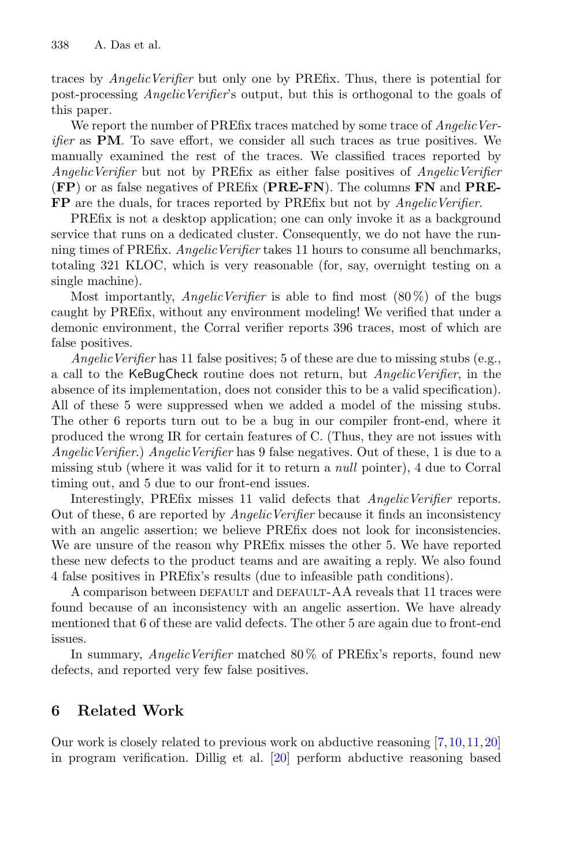traces by *AngelicVerifier* but only one by PREfix. Thus, there is potential for post-processing *AngelicVerifier*'s output, but this is orthogonal to the goals of this paper.

We report the number of PREfix traces matched by some trace of *AngelicVerifter* as **PM**. To save effort, we consider all such traces as true positives. We manually examined the rest of the traces. We classified traces reported by *AngelicVerifier* but not by PREfix as either false positives of *AngelicVerifier* (**FP**) or as false negatives of PREfix (**PRE-FN**). The columns **FN** and **PRE-FP** are the duals, for traces reported by PREfix but not by *AngelicVerifier*.

PREfix is not a desktop application; one can only invoke it as a background service that runs on a dedicated cluster. Consequently, we do not have the running times of PREfix. *AngelicVerifier* takes 11 hours to consume all benchmarks, totaling 321 KLOC, which is very reasonable (for, say, overnight testing on a single machine).

Most importantly, *AngelicVerifier* is able to find most (80 %) of the bugs caught by PREfix, without any environment modeling! We verified that under a demonic environment, the Corral verifier reports 396 traces, most of which are false positives.

*AngelicVerifier* has 11 false positives; 5 of these are due to missing stubs (e.g., a call to the KeBugCheck routine does not return, but *AngelicVerifier*, in the absence of its implementation, does not consider this to be a valid specification). All of these 5 were suppressed when we added a model of the missing stubs. The other 6 reports turn out to be a bug in our compiler front-end, where it produced the wrong IR for certain features of C. (Thus, they are not issues with *AngelicVerifier*.) *AngelicVerifier* has 9 false negatives. Out of these, 1 is due to a missing stub (where it was valid for it to return a *null* pointer), 4 due to Corral timing out, and 5 due to our front-end issues.

Interestingly, PREfix misses 11 valid defects that *AngelicVerifier* reports. Out of these, 6 are reported by *AngelicVerifier* because it finds an inconsistency with an angelic assertion; we believe PREfix does not look for inconsistencies. We are unsure of the reason why PREfix misses the other 5. We have reported these new defects to the product teams and are awaiting a reply. We also found 4 false positives in PREfix's results (due to infeasible path conditions).

A comparison between DEFAULT and DEFAULT-AA reveals that 11 traces were found because of an inconsistency with an angelic assertion. We have already mentioned that 6 of these are valid defects. The other 5 are again due to front-end issues.

In summary, *AngelicVerifier* matched 80 % of PREfix's reports, found new defects, and reported very few false positives.

# **6 Related Work**

Our work is closely related to previous work on abductive reasoning [\[7](#page-16-11)[,10](#page-16-7),[11](#page-16-12)[,20](#page-17-4)] in program verification. Dillig et al. [\[20](#page-17-4)] perform abductive reasoning based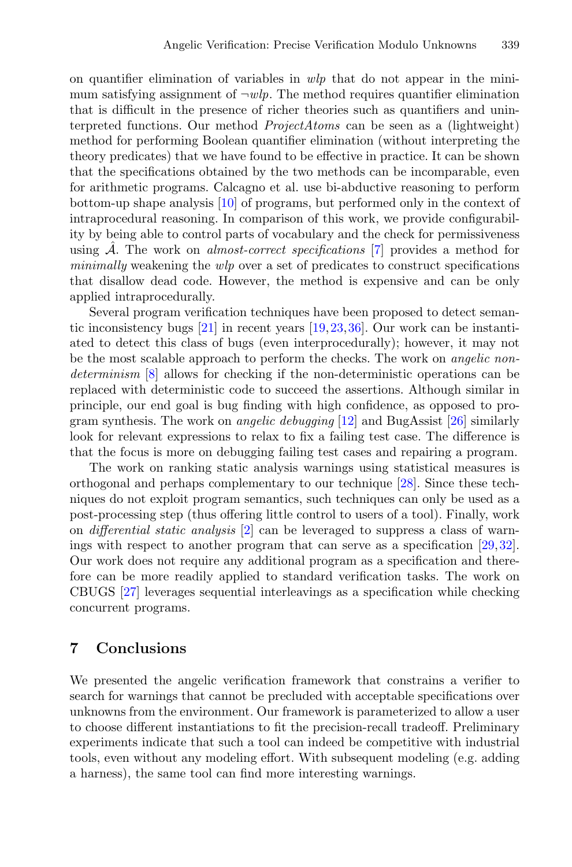on quantifier elimination of variables in *wlp* that do not appear in the minimum satisfying assignment of  $\neg wlp$ . The method requires quantifier elimination that is difficult in the presence of richer theories such as quantifiers and uninterpreted functions. Our method *ProjectAtoms* can be seen as a (lightweight) method for performing Boolean quantifier elimination (without interpreting the theory predicates) that we have found to be effective in practice. It can be shown that the specifications obtained by the two methods can be incomparable, even for arithmetic programs. Calcagno et al. use bi-abductive reasoning to perform bottom-up shape analysis [\[10\]](#page-16-7) of programs, but performed only in the context of intraprocedural reasoning. In comparison of this work, we provide configurability by being able to control parts of vocabulary and the check for permissiveness using <sup>A</sup>ˆ. The work on *almost-correct specifications* [\[7\]](#page-16-11) provides a method for *minimally* weakening the *wlp* over a set of predicates to construct specifications that disallow dead code. However, the method is expensive and can be only applied intraprocedurally.

Several program verification techniques have been proposed to detect semantic inconsistency bugs [\[21\]](#page-17-6) in recent years [\[19](#page-17-5),[23,](#page-17-7)[36\]](#page-18-2). Our work can be instantiated to detect this class of bugs (even interprocedurally); however, it may not be the most scalable approach to perform the checks. The work on *angelic nondeterminism* [\[8](#page-16-13)] allows for checking if the non-deterministic operations can be replaced with deterministic code to succeed the assertions. Although similar in principle, our end goal is bug finding with high confidence, as opposed to program synthesis. The work on *angelic debugging* [\[12](#page-16-14)] and BugAssist [\[26](#page-17-12)] similarly look for relevant expressions to relax to fix a failing test case. The difference is that the focus is more on debugging failing test cases and repairing a program.

The work on ranking static analysis warnings using statistical measures is orthogonal and perhaps complementary to our technique [\[28\]](#page-17-13). Since these techniques do not exploit program semantics, such techniques can only be used as a post-processing step (thus offering little control to users of a tool). Finally, work on *differential static analysis* [\[2](#page-16-15)] can be leveraged to suppress a class of warnings with respect to another program that can serve as a specification [\[29](#page-17-14),[32\]](#page-17-15). Our work does not require any additional program as a specification and therefore can be more readily applied to standard verification tasks. The work on CBUGS [\[27\]](#page-17-16) leverages sequential interleavings as a specification while checking concurrent programs.

### **7 Conclusions**

We presented the angelic verification framework that constrains a verifier to search for warnings that cannot be precluded with acceptable specifications over unknowns from the environment. Our framework is parameterized to allow a user to choose different instantiations to fit the precision-recall tradeoff. Preliminary experiments indicate that such a tool can indeed be competitive with industrial tools, even without any modeling effort. With subsequent modeling (e.g. adding a harness), the same tool can find more interesting warnings.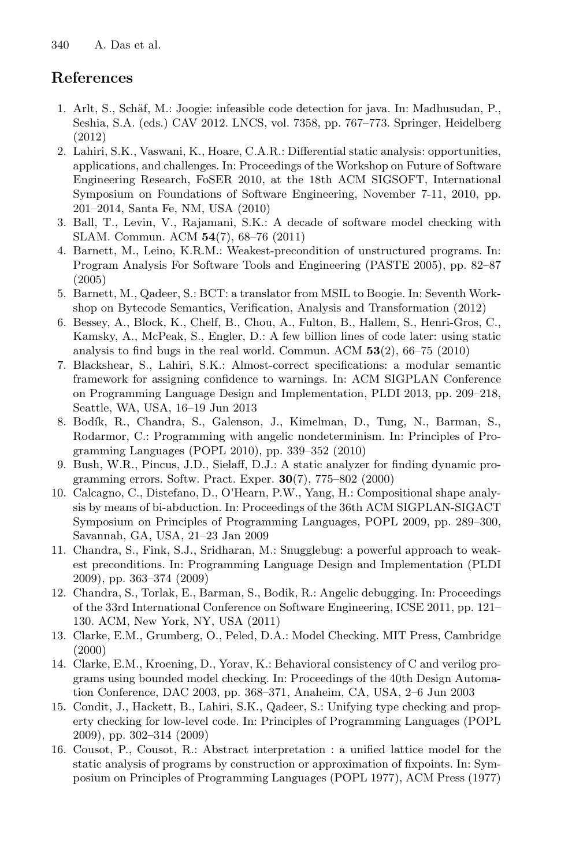# **References**

- <span id="page-16-8"></span>1. Arlt, S., Schäf, M.: Joogie: infeasible code detection for java. In: Madhusudan, P., Seshia, S.A. (eds.) CAV 2012. LNCS, vol. 7358, pp. 767–773. Springer, Heidelberg (2012)
- <span id="page-16-15"></span>2. Lahiri, S.K., Vaswani, K., Hoare, C.A.R.: Differential static analysis: opportunities, applications, and challenges. In: Proceedings of the Workshop on Future of Software Engineering Research, FoSER 2010, at the 18th ACM SIGSOFT, International Symposium on Foundations of Software Engineering, November 7-11, 2010, pp. 201–2014, Santa Fe, NM, USA (2010)
- <span id="page-16-2"></span>3. Ball, T., Levin, V., Rajamani, S.K.: A decade of software model checking with SLAM. Commun. ACM **54**(7), 68–76 (2011)
- <span id="page-16-5"></span>4. Barnett, M., Leino, K.R.M.: Weakest-precondition of unstructured programs. In: Program Analysis For Software Tools and Engineering (PASTE 2005), pp. 82–87 (2005)
- <span id="page-16-9"></span>5. Barnett, M., Qadeer, S.: BCT: a translator from MSIL to Boogie. In: Seventh Workshop on Bytecode Semantics, Verification, Analysis and Transformation (2012)
- <span id="page-16-3"></span>6. Bessey, A., Block, K., Chelf, B., Chou, A., Fulton, B., Hallem, S., Henri-Gros, C., Kamsky, A., McPeak, S., Engler, D.: A few billion lines of code later: using static analysis to find bugs in the real world. Commun. ACM **53**(2), 66–75 (2010)
- <span id="page-16-11"></span>7. Blackshear, S., Lahiri, S.K.: Almost-correct specifications: a modular semantic framework for assigning confidence to warnings. In: ACM SIGPLAN Conference on Programming Language Design and Implementation, PLDI 2013, pp. 209–218, Seattle, WA, USA, 16–19 Jun 2013
- <span id="page-16-13"></span>8. Bodík, R., Chandra, S., Galenson, J., Kimelman, D., Tung, N., Barman, S., Rodarmor, C.: Programming with angelic nondeterminism. In: Principles of Programming Languages (POPL 2010), pp. 339–352 (2010)
- <span id="page-16-10"></span>9. Bush, W.R., Pincus, J.D., Sielaff, D.J.: A static analyzer for finding dynamic programming errors. Softw. Pract. Exper. **30**(7), 775–802 (2000)
- <span id="page-16-7"></span>10. Calcagno, C., Distefano, D., O'Hearn, P.W., Yang, H.: Compositional shape analysis by means of bi-abduction. In: Proceedings of the 36th ACM SIGPLAN-SIGACT Symposium on Principles of Programming Languages, POPL 2009, pp. 289–300, Savannah, GA, USA, 21–23 Jan 2009
- <span id="page-16-12"></span>11. Chandra, S., Fink, S.J., Sridharan, M.: Snugglebug: a powerful approach to weakest preconditions. In: Programming Language Design and Implementation (PLDI 2009), pp. 363–374 (2009)
- <span id="page-16-14"></span>12. Chandra, S., Torlak, E., Barman, S., Bodik, R.: Angelic debugging. In: Proceedings of the 33rd International Conference on Software Engineering, ICSE 2011, pp. 121– 130. ACM, New York, NY, USA (2011)
- <span id="page-16-0"></span>13. Clarke, E.M., Grumberg, O., Peled, D.A.: Model Checking. MIT Press, Cambridge (2000)
- <span id="page-16-4"></span>14. Clarke, E.M., Kroening, D., Yorav, K.: Behavioral consistency of C and verilog programs using bounded model checking. In: Proceedings of the 40th Design Automation Conference, DAC 2003, pp. 368–371, Anaheim, CA, USA, 2–6 Jun 2003
- <span id="page-16-6"></span>15. Condit, J., Hackett, B., Lahiri, S.K., Qadeer, S.: Unifying type checking and property checking for low-level code. In: Principles of Programming Languages (POPL 2009), pp. 302–314 (2009)
- <span id="page-16-1"></span>16. Cousot, P., Cousot, R.: Abstract interpretation : a unified lattice model for the static analysis of programs by construction or approximation of fixpoints. In: Symposium on Principles of Programming Languages (POPL 1977), ACM Press (1977)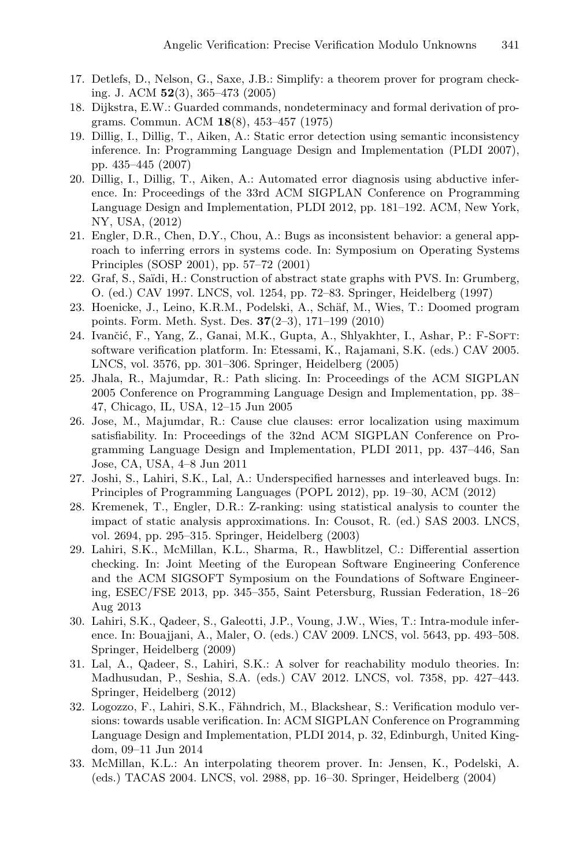- <span id="page-17-10"></span>17. Detlefs, D., Nelson, G., Saxe, J.B.: Simplify: a theorem prover for program checking. J. ACM **52**(3), 365–473 (2005)
- <span id="page-17-8"></span>18. Dijkstra, E.W.: Guarded commands, nondeterminacy and formal derivation of programs. Commun. ACM **18**(8), 453–457 (1975)
- <span id="page-17-5"></span>19. Dillig, I., Dillig, T., Aiken, A.: Static error detection using semantic inconsistency inference. In: Programming Language Design and Implementation (PLDI 2007), pp. 435–445 (2007)
- <span id="page-17-4"></span>20. Dillig, I., Dillig, T., Aiken, A.: Automated error diagnosis using abductive inference. In: Proceedings of the 33rd ACM SIGPLAN Conference on Programming Language Design and Implementation, PLDI 2012, pp. 181–192. ACM, New York, NY, USA, (2012)
- <span id="page-17-6"></span>21. Engler, D.R., Chen, D.Y., Chou, A.: Bugs as inconsistent behavior: a general approach to inferring errors in systems code. In: Symposium on Operating Systems Principles (SOSP 2001), pp. 57–72 (2001)
- <span id="page-17-0"></span>22. Graf, S., Saïdi, H.: Construction of abstract state graphs with PVS. In: Grumberg, O. (ed.) CAV 1997. LNCS, vol. 1254, pp. 72–83. Springer, Heidelberg (1997)
- <span id="page-17-7"></span>23. Hoenicke, J., Leino, K.R.M., Podelski, A., Schäf, M., Wies, T.: Doomed program points. Form. Meth. Syst. Des. **37**(2–3), 171–199 (2010)
- <span id="page-17-2"></span>24. Ivančić, F., Yang, Z., Ganai, M.K., Gupta, A., Shlyakhter, I., Ashar, P.: F-Soft: software verification platform. In: Etessami, K., Rajamani, S.K. (eds.) CAV 2005. LNCS, vol. 3576, pp. 301–306. Springer, Heidelberg (2005)
- <span id="page-17-9"></span>25. Jhala, R., Majumdar, R.: Path slicing. In: Proceedings of the ACM SIGPLAN 2005 Conference on Programming Language Design and Implementation, pp. 38– 47, Chicago, IL, USA, 12–15 Jun 2005
- <span id="page-17-12"></span>26. Jose, M., Majumdar, R.: Cause clue clauses: error localization using maximum satisfiability. In: Proceedings of the 32nd ACM SIGPLAN Conference on Programming Language Design and Implementation, PLDI 2011, pp. 437–446, San Jose, CA, USA, 4–8 Jun 2011
- <span id="page-17-16"></span>27. Joshi, S., Lahiri, S.K., Lal, A.: Underspecified harnesses and interleaved bugs. In: Principles of Programming Languages (POPL 2012), pp. 19–30, ACM (2012)
- <span id="page-17-13"></span>28. Kremenek, T., Engler, D.R.: Z-ranking: using statistical analysis to counter the impact of static analysis approximations. In: Cousot, R. (ed.) SAS 2003. LNCS, vol. 2694, pp. 295–315. Springer, Heidelberg (2003)
- <span id="page-17-14"></span>29. Lahiri, S.K., McMillan, K.L., Sharma, R., Hawblitzel, C.: Differential assertion checking. In: Joint Meeting of the European Software Engineering Conference and the ACM SIGSOFT Symposium on the Foundations of Software Engineering, ESEC/FSE 2013, pp. 345–355, Saint Petersburg, Russian Federation, 18–26 Aug 2013
- <span id="page-17-3"></span>30. Lahiri, S.K., Qadeer, S., Galeotti, J.P., Voung, J.W., Wies, T.: Intra-module inference. In: Bouajjani, A., Maler, O. (eds.) CAV 2009. LNCS, vol. 5643, pp. 493–508. Springer, Heidelberg (2009)
- <span id="page-17-11"></span>31. Lal, A., Qadeer, S., Lahiri, S.K.: A solver for reachability modulo theories. In: Madhusudan, P., Seshia, S.A. (eds.) CAV 2012. LNCS, vol. 7358, pp. 427–443. Springer, Heidelberg (2012)
- <span id="page-17-15"></span>32. Logozzo, F., Lahiri, S.K., Fähndrich, M., Blackshear, S.: Verification modulo versions: towards usable verification. In: ACM SIGPLAN Conference on Programming Language Design and Implementation, PLDI 2014, p. 32, Edinburgh, United Kingdom, 09–11 Jun 2014
- <span id="page-17-1"></span>33. McMillan, K.L.: An interpolating theorem prover. In: Jensen, K., Podelski, A. (eds.) TACAS 2004. LNCS, vol. 2988, pp. 16–30. Springer, Heidelberg (2004)